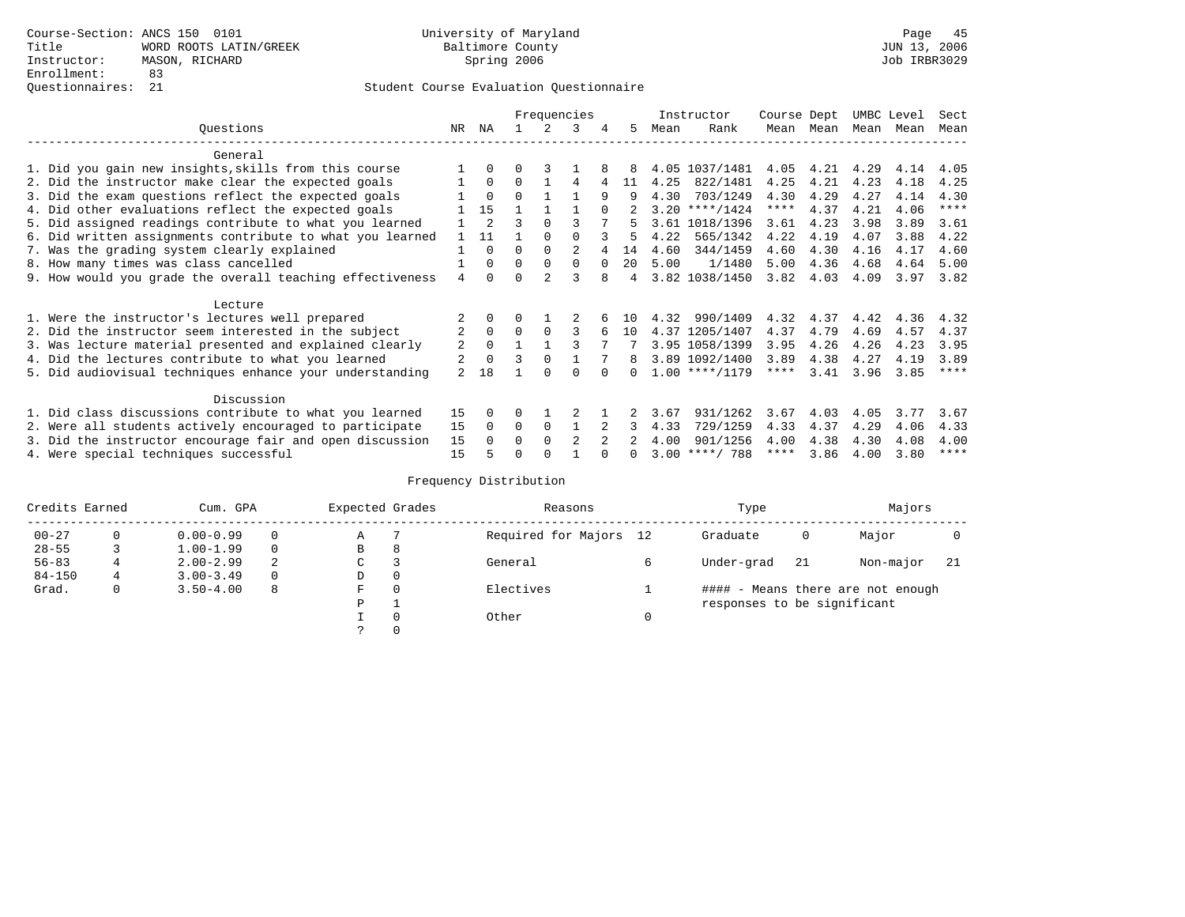|                                                           |                |                |          |               | Frequencies    |          |     |      | Instructor       | Course Dept |      | UMBC Level |      | Sect        |
|-----------------------------------------------------------|----------------|----------------|----------|---------------|----------------|----------|-----|------|------------------|-------------|------|------------|------|-------------|
| Questions                                                 | NR.            | ΝA             |          |               | 3              | 4        | 5   | Mean | Rank             | Mean        | Mean | Mean       | Mean | Mean        |
| General                                                   |                |                |          |               |                |          |     |      |                  |             |      |            |      |             |
| 1. Did you gain new insights, skills from this course     |                | $\Omega$       | 0        |               |                |          |     |      | 4.05 1037/1481   | 4.05        | 4.21 | 4.29       | 4.14 | 4.05        |
| 2. Did the instructor make clear the expected goals       |                | $\Omega$       | $\Omega$ |               | 4              |          | 11  | 4.25 | 822/1481         | 4.25        | 4.21 | 4.23       | 4.18 | 4.25        |
| 3. Did the exam questions reflect the expected goals      |                | $\Omega$       | $\Omega$ |               |                | 9        | 9   | 4.30 | 703/1249         | 4.30        | 4.29 | 4.27       | 4.14 | 4.30        |
| 4. Did other evaluations reflect the expected goals       |                | 15             |          |               |                |          |     |      | $3.20$ ****/1424 | $***$ * *   | 4.37 | 4.21       | 4.06 | $* * * * *$ |
| 5. Did assigned readings contribute to what you learned   |                | $\overline{a}$ |          | $\Omega$      |                |          |     |      | 3.61 1018/1396   | 3.61        | 4.23 | 3.98       | 3.89 | 3.61        |
| 6. Did written assignments contribute to what you learned |                | 11             |          |               |                |          | 5   | 4.22 | 565/1342         | 4.22        | 4.19 | 4.07       | 3.88 | 4.22        |
| 7. Was the grading system clearly explained               |                | $\Omega$       | U        | $\Omega$      |                |          | 14  | 4.60 | 344/1459         | 4.60        | 4.30 | 4.16       | 4.17 | 4.60        |
| 8. How many times was class cancelled                     |                | $\Omega$       | $\Omega$ | $\Omega$      | 0              | $\Omega$ | 20  | 5.00 | 1/1480           | 5.00        | 4.36 | 4.68       | 4.64 | 5.00        |
| 9. How would you grade the overall teaching effectiveness | 4              | $\cap$         |          | $\mathcal{D}$ |                |          | 4   |      | 3.82 1038/1450   | 3.82        | 4.03 | 4.09       | 3.97 | 3.82        |
| Lecture                                                   |                |                |          |               |                |          |     |      |                  |             |      |            |      |             |
| 1. Were the instructor's lectures well prepared           |                |                |          |               |                |          | 1 N | 4.32 | 990/1409         | 4.32        | 4.37 | 4.42       | 4.36 | 4.32        |
| 2. Did the instructor seem interested in the subject      | $\overline{2}$ | $\Omega$       | $\Omega$ | $\Omega$      | 3              |          | 10  |      | 4.37 1205/1407   | 4.37        | 4.79 | 4.69       | 4.57 | 4.37        |
| 3. Was lecture material presented and explained clearly   | 2              | $\Omega$       |          |               |                |          |     |      | 3.95 1058/1399   | 3.95        | 4.26 | 4.26       | 4.23 | 3.95        |
| 4. Did the lectures contribute to what you learned        | 2              | $\mathbf{0}$   | ς        | $\Omega$      |                |          | 8   |      | 3.89 1092/1400   | 3.89        | 4.38 | 4.27       | 4.19 | 3.89        |
| 5. Did audiovisual techniques enhance your understanding  | $\overline{2}$ | 18             |          |               |                |          |     |      | $1.00$ ****/1179 | ****        | 3.41 | 3.96       | 3.85 | $* * * *$   |
|                                                           |                |                |          |               |                |          |     |      |                  |             |      |            |      |             |
| Discussion                                                |                |                |          |               |                |          |     |      |                  |             |      |            |      |             |
| 1. Did class discussions contribute to what you learned   | 15             | $\Omega$       | 0        |               |                |          |     | 3.67 | 931/1262         | 3.67        | 4.03 | 4.05       | 3.77 | 3.67        |
| 2. Were all students actively encouraged to participate   | 15             | $\Omega$       | 0        | 0             |                |          |     | 4.33 | 729/1259         | 4.33        | 4.37 | 4.29       | 4.06 | 4.33        |
| 3. Did the instructor encourage fair and open discussion  | 15             | $\Omega$       | U        | $\Omega$      | $\mathfrak{D}$ |          |     | 4.00 | 901/1256         | 4.00        | 4.38 | 4.30       | 4.08 | 4.00        |
| 4. Were special techniques successful                     | 15             |                |          |               |                |          |     |      | $3.00$ ****/ 788 | ****        | 3.86 | 4.00       | 3.80 | $***$ * * * |

| Credits Earned |   | Cum. GPA      | Expected Grades |               | Reasons |                        | Type | Majors                      |    |                                   |     |
|----------------|---|---------------|-----------------|---------------|---------|------------------------|------|-----------------------------|----|-----------------------------------|-----|
| $00 - 27$      | 0 | $0.00 - 0.99$ |                 | Α             |         | Required for Majors 12 |      | Graduate                    | 0  | Major                             |     |
| $28 - 55$      |   | $1.00 - 1.99$ |                 | B             | 8       |                        |      |                             |    |                                   |     |
| $56 - 83$      | 4 | $2.00 - 2.99$ | 2               | $\sim$<br>◡   |         | General                |      | Under-grad                  | 21 | Non-major                         | -21 |
| $84 - 150$     | 4 | $3.00 - 3.49$ |                 | D             | 0       |                        |      |                             |    |                                   |     |
| Grad.          | 0 | $3.50 - 4.00$ | 8               | F             | 0       | Electives              |      |                             |    | #### - Means there are not enough |     |
|                |   |               |                 | P             |         |                        |      | responses to be significant |    |                                   |     |
|                |   |               |                 |               | 0       | Other                  | 0    |                             |    |                                   |     |
|                |   |               |                 | $\mathcal{L}$ |         |                        |      |                             |    |                                   |     |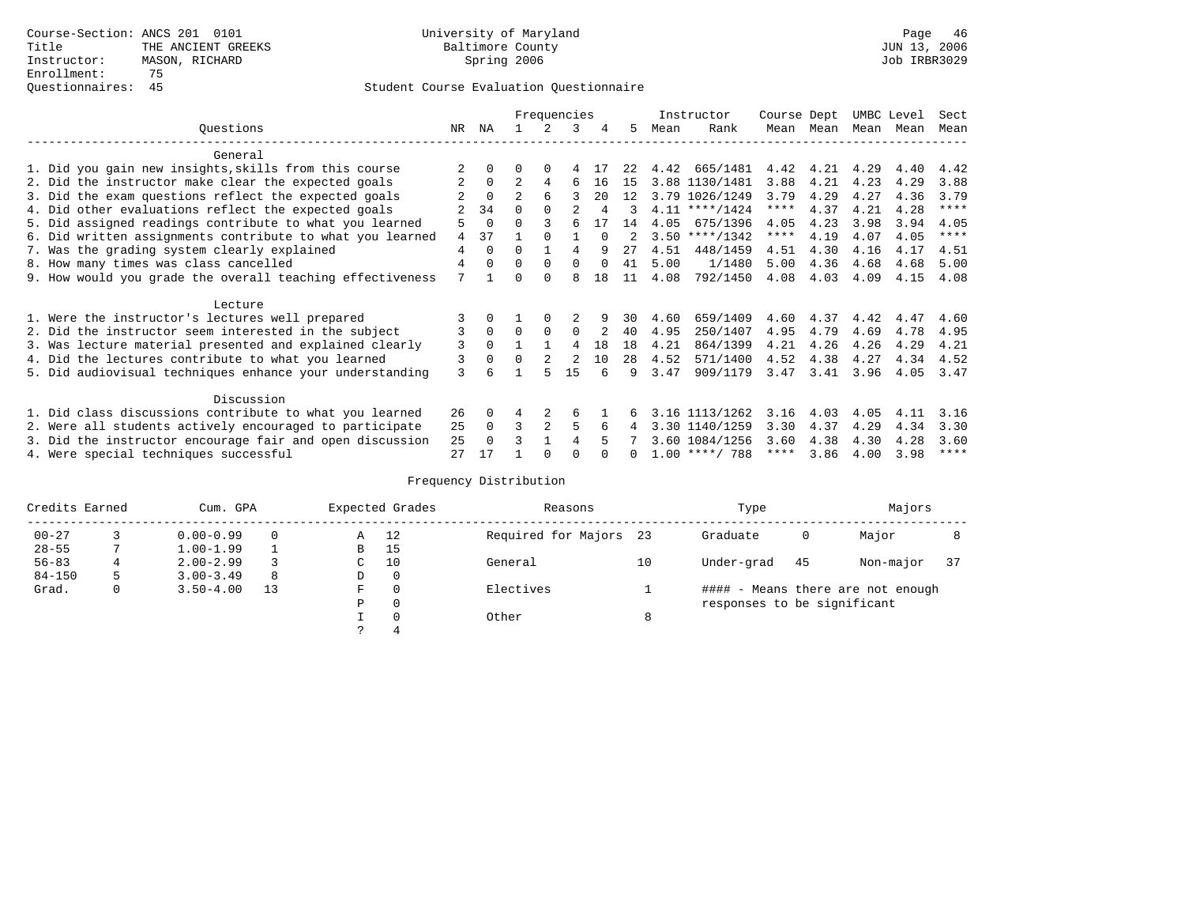|                                                           |     |          | Frequencies    |                |          |        |                |      | Instructor       | Course Dept |           | UMBC Level |      | Sect        |
|-----------------------------------------------------------|-----|----------|----------------|----------------|----------|--------|----------------|------|------------------|-------------|-----------|------------|------|-------------|
| Ouestions                                                 | NR. | ΝA       |                |                | 3        | 4      | 5.             | Mean | Rank             |             | Mean Mean | Mean Mean  |      | Mean        |
| General                                                   |     |          |                |                |          |        |                |      |                  |             |           |            |      |             |
| 1. Did you gain new insights, skills from this course     |     |          |                | $\Omega$       |          |        | 2.2.           | 4.42 | 665/1481         | 4.42        | 4.21      | 4.29       | 4.40 | 4.42        |
| 2. Did the instructor make clear the expected goals       |     | $\Omega$ | $\mathfrak{D}$ | 4              | 6        | 16     | 15             |      | 3.88 1130/1481   | 3.88        | 4.21      | 4.23       | 4.29 | 3.88        |
| 3. Did the exam questions reflect the expected goals      |     | $\Omega$ | $\overline{a}$ | 6              |          | 20     | 12             |      | 3.79 1026/1249   | 3.79        | 4.29      | 4.27       | 4.36 | 3.79        |
| 4. Did other evaluations reflect the expected goals       |     | 34       | $\Omega$       | $\Omega$       |          |        | 3              |      | $4.11$ ****/1424 | $***$ * *   | 4.37      | 4.21       | 4.28 | $***$ * * * |
| 5. Did assigned readings contribute to what you learned   |     | $\Omega$ | $\Omega$       |                |          |        | 14             | 4.05 | 675/1396         | 4.05        | 4.23      | 3.98       | 3.94 | 4.05        |
| 6. Did written assignments contribute to what you learned | 4   | 37       |                |                |          | $\cap$ | $\mathfrak{D}$ |      | $3.50$ ****/1342 | ****        | 4.19      | 4.07       | 4.05 | $***$ * * * |
| 7. Was the grading system clearly explained               | 4   | $\Omega$ | $\Omega$       |                | 4        |        | 27             | 4.51 | 448/1459         | 4.51        | 4.30      | 4.16       | 4.17 | 4.51        |
| 8. How many times was class cancelled                     | 4   | $\Omega$ | $\Omega$       | $\Omega$       | $\Omega$ | $\cap$ | 41             | 5.00 | 1/1480           | 5.00        | 4.36      | 4.68       | 4.68 | 5.00        |
| 9. How would you grade the overall teaching effectiveness | 7   |          | ∩              | $\cap$         | R        | 1.8    | 11             | 4.08 | 792/1450         | 4.08        | 4.03      | 4.09       | 4.15 | 4.08        |
| Lecture                                                   |     |          |                |                |          |        |                |      |                  |             |           |            |      |             |
| 1. Were the instructor's lectures well prepared           |     |          |                | $\Omega$       |          |        | 30             | 4.60 | 659/1409         | 4.60        | 4.37      | 4.42       | 4.47 | 4.60        |
| 2. Did the instructor seem interested in the subject      | 3   | $\Omega$ | $\Omega$       | $\Omega$       | $\Omega$ |        | 40             | 4.95 | 250/1407         | 4.95        | 4.79      | 4.69       | 4.78 | 4.95        |
| 3. Was lecture material presented and explained clearly   | 3   | $\Omega$ |                |                | 4        | 18     | 18             | 4.21 | 864/1399         | 4.21        | 4.26      | 4.26       | 4.29 | 4.21        |
| 4. Did the lectures contribute to what you learned        | 3   | $\Omega$ | $\Omega$       |                |          | 10     | 28             | 4.52 | 571/1400         | 4.52        | 4.38      | 4.27       | 4.34 | 4.52        |
| 5. Did audiovisual techniques enhance your understanding  | 3   |          |                | 5              | 15       | Б.     | q              | 3.47 | 909/1179         | 3.47        | 3.41      | 3.96       | 4.05 | 3.47        |
| Discussion                                                |     |          |                |                |          |        |                |      |                  |             |           |            |      |             |
| 1. Did class discussions contribute to what you learned   | 26  | $\Omega$ | 4              |                | 6        |        |                |      | 3.16 1113/1262   | 3.16        | 4.03      | 4.05       | 4.11 | 3.16        |
| 2. Were all students actively encouraged to participate   |     |          | 3              | $\overline{2}$ | 5        | 6      | 4              |      | 3.30 1140/1259   | 3.30        | 4.37      | 4.29       | 4.34 | 3.30        |
| 3. Did the instructor encourage fair and open discussion  | 25  | $\Omega$ |                |                |          |        |                |      | 3.60 1084/1256   | 3.60        | 4.38      | 4.30       | 4.28 | 3.60        |
| 4. Were special techniques successful                     | 27  | 17       |                |                |          |        |                |      | $1.00$ ****/ 788 | ****        | 3.86      | 4.00       | 3.98 | $***$ * * * |

| Credits Earned |   | Cum. GPA      |    | Expected Grades | Reasons  |                        | Type | Majors                      |     |                                   |    |
|----------------|---|---------------|----|-----------------|----------|------------------------|------|-----------------------------|-----|-----------------------------------|----|
| $00 - 27$      |   | $0.00 - 0.99$ |    | Α               | 12       | Required for Majors 23 |      | Graduate                    | 0   | Major                             |    |
| $28 - 55$      |   | $1.00 - 1.99$ |    | B               | 15       |                        |      |                             |     |                                   |    |
| $56 - 83$      |   | $2.00 - 2.99$ |    | C               | 10       | General                | 10   | Under-grad                  | -45 | Non-major                         | 37 |
| $84 - 150$     | 5 | $3.00 - 3.49$ | 8  | D               | 0        |                        |      |                             |     |                                   |    |
| Grad.          | 0 | $3.50 - 4.00$ | 13 | F               | 0        | Electives              |      |                             |     | #### - Means there are not enough |    |
|                |   |               |    | Ρ               | 0        |                        |      | responses to be significant |     |                                   |    |
|                |   |               |    |                 | $\Omega$ | Other                  | 8    |                             |     |                                   |    |
|                |   |               |    | っ               | 4        |                        |      |                             |     |                                   |    |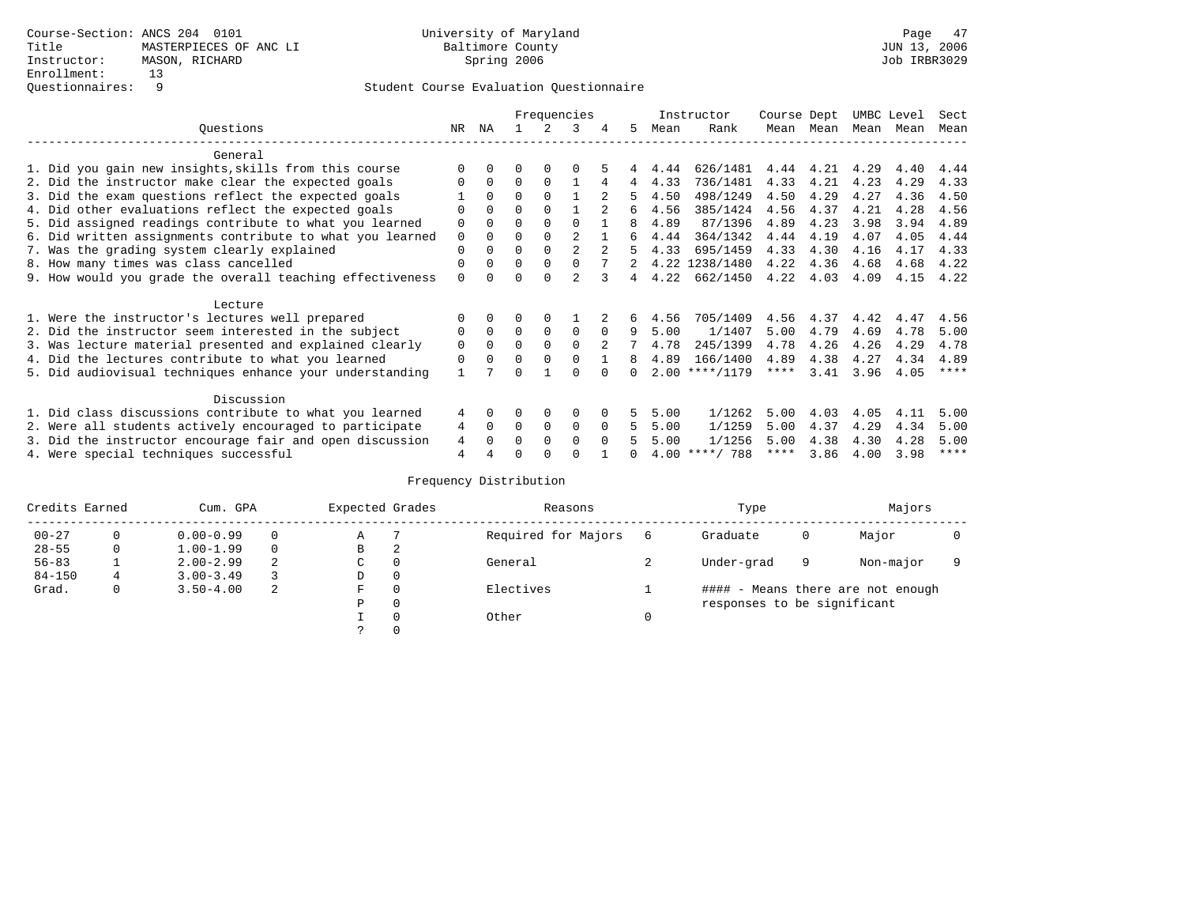|                                                           |             |              |          |             | Frequencies    |          |                |      | Instructor       | Course Dept |      | UMBC Level |      | Sect        |
|-----------------------------------------------------------|-------------|--------------|----------|-------------|----------------|----------|----------------|------|------------------|-------------|------|------------|------|-------------|
| Ouestions                                                 | NR.         | ΝA           |          |             | 3              | 4        | 5.             | Mean | Rank             | Mean        | Mean | Mean       | Mean | Mean        |
| General                                                   |             |              |          |             |                |          |                |      |                  |             |      |            |      |             |
| 1. Did you gain new insights, skills from this course     |             | $\Omega$     | O        | $\Omega$    | O              |          |                | 4.44 | 626/1481         | 4.44        | 4.21 | 4.29       | 4.40 | 4.44        |
| 2. Did the instructor make clear the expected goals       |             | $\Omega$     | $\Omega$ | $\Omega$    |                | 4        | $\overline{4}$ | 4.33 | 736/1481         | 4.33        | 4.21 | 4.23       | 4.29 | 4.33        |
| 3. Did the exam questions reflect the expected goals      |             | $\Omega$     | $\Omega$ | $\Omega$    |                |          | 5.             | 4.50 | 498/1249         | 4.50        | 4.29 | 4.27       | 4.36 | 4.50        |
| 4. Did other evaluations reflect the expected goals       | O           | $\Omega$     | $\Omega$ | $\Omega$    |                |          | б.             | 4.56 | 385/1424         | 4.56        | 4.37 | 4.21       | 4.28 | 4.56        |
| 5. Did assigned readings contribute to what you learned   | $\mathbf 0$ |              | $\Omega$ | $\Omega$    | $\Omega$       |          | 8              | 4.89 | 87/1396          | 4.89        | 4.23 | 3.98       | 3.94 | 4.89        |
| 6. Did written assignments contribute to what you learned | $\mathbf 0$ | $\Omega$     |          |             | $\mathfrak{D}$ |          | 6              | 4.44 | 364/1342         | 4.44        | 4.19 | 4.07       | 4.05 | 4.44        |
| 7. Was the grading system clearly explained               | $\Omega$    |              | $\Omega$ | $\Omega$    |                |          | 5.             | 4.33 | 695/1459         | 4.33        | 4.30 | 4.16       | 4.17 | 4.33        |
| 8. How many times was class cancelled                     | 0           | $\Omega$     | $\Omega$ | $\Omega$    | $\Omega$       |          |                |      | 4.22 1238/1480   | 4.22        | 4.36 | 4.68       | 4.68 | 4.22        |
| 9. How would you grade the overall teaching effectiveness | $\Omega$    | <sup>n</sup> | U        | ∩           | $\mathcal{D}$  | २        | 4              | 4.22 | 662/1450         | 4.22        | 4.03 | 4.09       | 4.15 | 4.22        |
|                                                           |             |              |          |             |                |          |                |      |                  |             |      |            |      |             |
| Lecture                                                   |             |              |          |             |                |          |                |      |                  |             |      |            |      |             |
| 1. Were the instructor's lectures well prepared           |             |              |          |             |                |          | 6              | 4.56 | 705/1409         | 4.56        | 4.37 | 4.42       | 4.47 | 4.56        |
| 2. Did the instructor seem interested in the subject      | 0           | $\Omega$     | $\Omega$ | $\Omega$    | $\mathbf 0$    | $\Omega$ | 9              | 5.00 | 1/1407           | 5.00        | 4.79 | 4.69       | 4.78 | 5.00        |
| 3. Was lecture material presented and explained clearly   | $\mathbf 0$ | $\Omega$     | $\Omega$ | $\Omega$    | $\Omega$       |          |                | 4.78 | 245/1399         | 4.78        | 4.26 | 4.26       | 4.29 | 4.78        |
| 4. Did the lectures contribute to what you learned        | $\mathbf 0$ | $\Omega$     | $\Omega$ | $\Omega$    | $\Omega$       |          | 8              | 4.89 | 166/1400         | 4.89        | 4.38 | 4.27       | 4.34 | 4.89        |
| 5. Did audiovisual techniques enhance your understanding  |             |              |          |             |                |          |                |      | $2.00$ ****/1179 | $***$ * *   | 3.41 | 3.96       | 4.05 | $***$ *     |
|                                                           |             |              |          |             |                |          |                |      |                  |             |      |            |      |             |
| Discussion                                                |             |              |          |             |                |          |                |      |                  |             |      |            |      |             |
| 1. Did class discussions contribute to what you learned   |             |              | 0        | $\Omega$    | $\Omega$       |          | 5.             | 5.00 | 1/1262           | 5.00        | 4.03 | 4.05       | 4.11 | 5.00        |
| 2. Were all students actively encouraged to participate   |             |              | $\Omega$ | $\mathbf 0$ | 0              | $\Omega$ | 5.             | 5.00 | 1/1259           | 5.00        | 4.37 | 4.29       | 4.34 | 5.00        |
| 3. Did the instructor encourage fair and open discussion  | 4           |              | 0        | $\Omega$    | $\Omega$       | $\Omega$ |                | 5.00 | 1/1256           | 5.00        | 4.38 | 4.30       | 4.28 | 5.00        |
| 4. Were special techniques successful                     | 4           |              |          |             |                |          |                |      | $4.00$ ****/ 788 | ****        | 3.86 | 4.00       | 3.98 | $***$ * * * |

| Credits Earned |   | Cum. GPA      |   |   | Expected Grades | Reasons             | Type                        | Majors |                                   |  |
|----------------|---|---------------|---|---|-----------------|---------------------|-----------------------------|--------|-----------------------------------|--|
| $00 - 27$      | 0 | $0.00 - 0.99$ |   | Α |                 | Required for Majors | Graduate                    | 0      | Major                             |  |
| $28 - 55$      | 0 | $1.00 - 1.99$ |   | B | 2               |                     |                             |        |                                   |  |
| $56 - 83$      |   | $2.00 - 2.99$ | 2 | C | 0               | General             | Under-grad                  | 9      | Non-major                         |  |
| $84 - 150$     | 4 | $3.00 - 3.49$ |   | D | 0               |                     |                             |        |                                   |  |
| Grad.          | 0 | $3.50 - 4.00$ | 2 | F | 0               | Electives           |                             |        | #### - Means there are not enough |  |
|                |   |               |   | Ρ | 0               |                     | responses to be significant |        |                                   |  |
|                |   |               |   |   | $\Omega$        | Other               |                             |        |                                   |  |
|                |   |               |   |   |                 |                     |                             |        |                                   |  |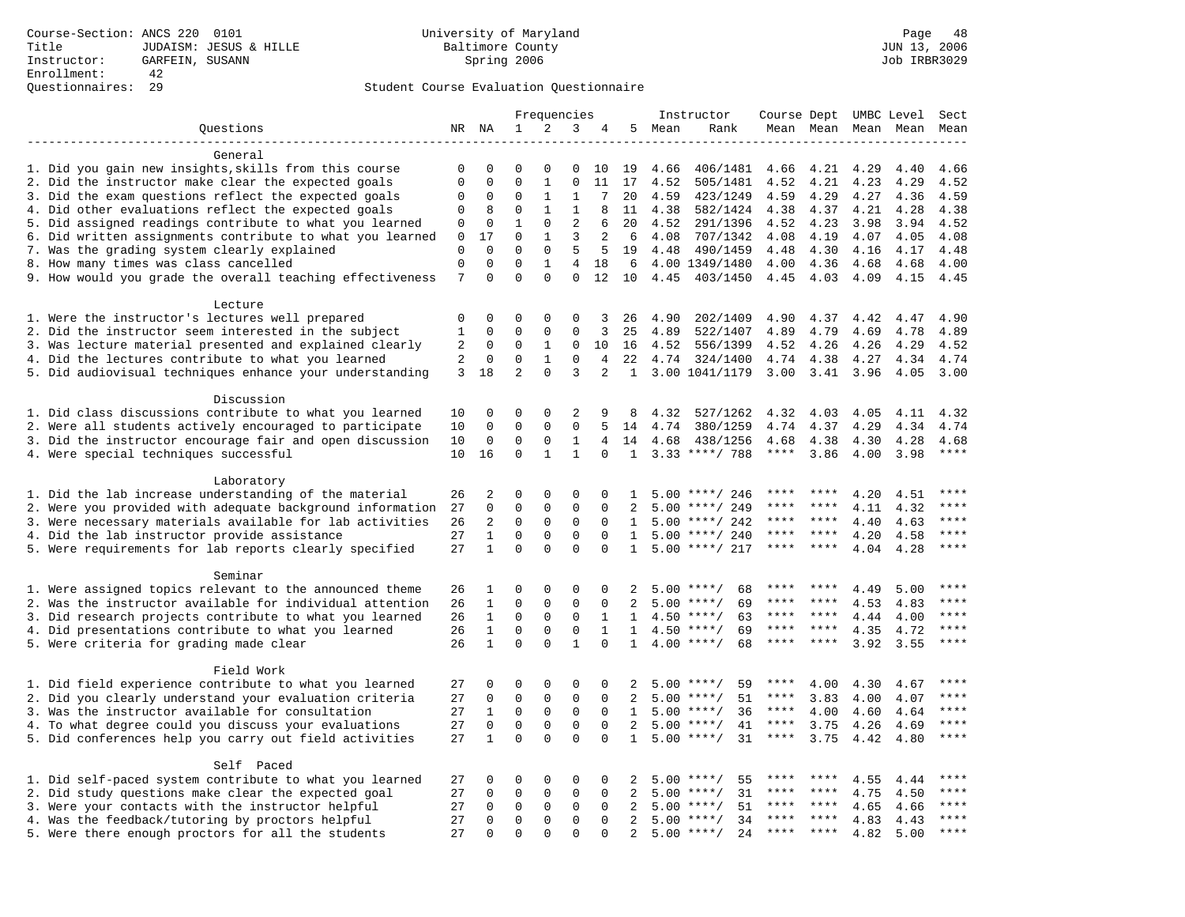|                                                           |                  | Frequencies              |                         |                          |                                | Instructor     |              |      |                            | Course Dept UMBC Level |              | Sect         |              |             |
|-----------------------------------------------------------|------------------|--------------------------|-------------------------|--------------------------|--------------------------------|----------------|--------------|------|----------------------------|------------------------|--------------|--------------|--------------|-------------|
| Questions                                                 |                  | NR NA                    | $\mathbf{1}$            | 2                        | 3                              | 4              | 5            | Mean | Rank                       |                        | Mean Mean    |              | Mean Mean    | Mean        |
|                                                           |                  |                          |                         |                          |                                |                |              |      |                            |                        |              |              |              |             |
| General                                                   |                  |                          |                         |                          |                                |                |              |      |                            |                        |              |              |              |             |
| 1. Did you gain new insights, skills from this course     | 0                | 0                        | $\Omega$                | $\Omega$                 | 0                              | 10             | 19           | 4.66 | 406/1481                   | 4.66                   | 4.21         | 4.29         | 4.40         | 4.66        |
| 2. Did the instructor make clear the expected goals       | $\mathbf{0}$     | $\mathbf 0$              | $\Omega$                | $\mathbf{1}$             | $\mathbf{0}$                   | 11             | 17           | 4.52 | 505/1481                   | 4.52                   | 4.21         | 4.23         | 4.29         | 4.52        |
| 3. Did the exam questions reflect the expected goals      | 0                | $\mathbf 0$              | $\Omega$                | 1                        | 1                              | 7              | 20           | 4.59 | 423/1249                   | 4.59                   | 4.29         | 4.27         | 4.36         | 4.59        |
| 4. Did other evaluations reflect the expected goals       | $\mathbf 0$      | 8                        | $\mathbf 0$             | $\mathbf{1}$             | $\mathbf{1}$                   | 8              | 11           | 4.38 | 582/1424                   | 4.38                   | 4.37         | 4.21         | 4.28         | 4.38        |
| 5. Did assigned readings contribute to what you learned   | 0                | $\mathbf 0$              | $\mathbf{1}$            | $\Omega$                 | $\overline{2}$                 | 6              | 20           | 4.52 | 291/1396                   | 4.52                   | 4.23         | 3.98         | 3.94         | 4.52        |
| 6. Did written assignments contribute to what you learned | $\mathbf{0}$     | 17                       | $\Omega$                | $\mathbf{1}$             | 3                              | 2              | 6            | 4.08 | 707/1342                   | 4.08                   | 4.19         | 4.07         | 4.05         | 4.08        |
| 7. Was the grading system clearly explained               | $\Omega$         | $\Omega$<br>$\mathbf{0}$ | $\Omega$<br>$\mathbf 0$ | $\Omega$<br>$\mathbf{1}$ | 5                              | 5              | 19           | 4.48 | 490/1459                   | 4.48                   | 4.30         | 4.16         | 4.17         | 4.48        |
| 8. How many times was class cancelled                     | $\mathbf 0$<br>7 | $\Omega$                 | $\Omega$                | $\Omega$                 | $\overline{4}$<br>$\mathbf{0}$ | 18<br>12       | 6<br>10      | 4.45 | 4.00 1349/1480<br>403/1450 | 4.00<br>4.45           | 4.36<br>4.03 | 4.68<br>4.09 | 4.68<br>4.15 | 4.00        |
| 9. How would you grade the overall teaching effectiveness |                  |                          |                         |                          |                                |                |              |      |                            |                        |              |              |              | 4.45        |
| Lecture                                                   |                  |                          |                         |                          |                                |                |              |      |                            |                        |              |              |              |             |
| 1. Were the instructor's lectures well prepared           | $\mathbf 0$      | $\mathbf 0$              | 0                       | 0                        | $\Omega$                       | 3              | 26           | 4.90 | 202/1409                   | 4.90                   | 4.37         | 4.42         | 4.47         | 4.90        |
| 2. Did the instructor seem interested in the subject      | 1                | $\mathbf 0$              | 0                       | 0                        | $\mathbf{0}$                   | 3              | 25           | 4.89 | 522/1407                   | 4.89                   | 4.79         | 4.69         | 4.78         | 4.89        |
| 3. Was lecture material presented and explained clearly   | 2                | $\mathbf 0$              | $\mathbf 0$             | 1                        | $\mathbf 0$                    | 10             | 16           | 4.52 | 556/1399                   | 4.52                   | 4.26         | 4.26         | 4.29         | 4.52        |
| 4. Did the lectures contribute to what you learned        | 2                | $\Omega$                 | $\Omega$                | $\mathbf{1}$             | $\Omega$                       | 4              | 22           |      | 4.74 324/1400              | 4.74                   | 4.38         | 4.27         | 4.34         | 4.74        |
| 5. Did audiovisual techniques enhance your understanding  | 3                | 18                       | $\overline{2}$          | $\Omega$                 | 3                              | $\overline{2}$ | $\mathbf{1}$ |      | 3.00 1041/1179             | 3.00                   | 3.41         | 3.96         | 4.05         | 3.00        |
|                                                           |                  |                          |                         |                          |                                |                |              |      |                            |                        |              |              |              |             |
| Discussion                                                |                  |                          |                         |                          |                                |                |              |      |                            |                        |              |              |              |             |
| 1. Did class discussions contribute to what you learned   | 10               | 0                        | 0                       | 0                        | 2                              | 9              | 8            | 4.32 | 527/1262                   | 4.32                   | 4.03         | 4.05         | 4.11         | 4.32        |
| 2. Were all students actively encouraged to participate   | 10               | $\mathbf 0$              | $\mathbf 0$             | $\mathbf 0$              | $\mathbf{0}$                   | 5              | 14           | 4.74 | 380/1259                   | 4.74                   | 4.37         | 4.29         | 4.34         | 4.74        |
| 3. Did the instructor encourage fair and open discussion  | 10               | $\mathbf 0$              | 0                       | 0                        | 1                              | 4              | 14           | 4.68 | 438/1256                   | 4.68                   | 4.38         | 4.30         | 4.28         | 4.68        |
| 4. Were special techniques successful                     | 10               | 16                       | $\mathbf 0$             | $\mathbf{1}$             | $\mathbf{1}$                   | $\Omega$       | 1            |      | $3.33$ ****/ 788           | $***$ * * *            | 3.86         | 4.00         | 3.98         | $***$       |
|                                                           |                  |                          |                         |                          |                                |                |              |      |                            |                        |              |              |              |             |
| Laboratory                                                |                  |                          |                         |                          |                                |                |              |      |                            |                        |              |              |              |             |
| 1. Did the lab increase understanding of the material     | 26               | 2                        | 0                       | $\Omega$                 | $\Omega$                       | $\Omega$       | $\mathbf{1}$ |      | $5.00$ ****/ 246           |                        |              | 4.20         | 4.51         |             |
| 2. Were you provided with adequate background information | 27               | $\mathbf 0$              | 0                       | $\mathsf 0$              | $\mathsf 0$                    | 0              | 2            | 5.00 | ****/ 249                  | ****                   | ****         | 4.11         | 4.32         | ****        |
| 3. Were necessary materials available for lab activities  | 26               | 2                        | $\mathbf 0$             | $\mathbf 0$              | $\mathbf 0$                    | $\mathbf{0}$   | 1            | 5.00 | ****/ 242                  | ****                   | $* * * *$    | 4.40         | 4.63         | $***$       |
| 4. Did the lab instructor provide assistance              | 27               | $\mathbf 1$              | $\mathbf 0$             | $\mathbf{0}$             | $\mathbf 0$                    | $\Omega$       | $\mathbf{1}$ |      | $5.00$ ****/ 240           | ****                   | ****         | 4.20         | 4.58         | $***$ * * * |
| 5. Were requirements for lab reports clearly specified    | 27               | $\mathbf{1}$             | $\Omega$                | $\Omega$                 | $\Omega$                       | $\Omega$       | $\mathbf{1}$ |      | $5.00$ ****/ 217           | ****                   | ****         | 4.04         | 4.28         | $***$       |
| Seminar                                                   |                  |                          |                         |                          |                                |                |              |      |                            |                        |              |              |              |             |
| 1. Were assigned topics relevant to the announced theme   | 26               | 1                        | 0                       | $\Omega$                 | $\Omega$                       | $\Omega$       | 2            |      | 68<br>$5.00$ ****/         |                        |              | 4.49         | 5.00         | ****        |
| 2. Was the instructor available for individual attention  | 26               | $\mathbf{1}$             | $\mathbf 0$             | $\mathbf 0$              | $\mathbf{0}$                   | 0              | 2            |      | 69<br>$5.00$ ****/         | ****                   | ****         | 4.53         | 4.83         | ****        |
| 3. Did research projects contribute to what you learned   | 26               | $\mathbf{1}$             | $\mathbf 0$             | $\mathsf 0$              | $\mathbf 0$                    | 1              | $\mathbf{1}$ |      | $4.50$ ****/<br>63         | ****                   | ****         | 4.44         | 4.00         | ****        |
| 4. Did presentations contribute to what you learned       | 26               | $\mathbf{1}$             | $\mathbf 0$             | $\mathbf 0$              | $\mathbf 0$                    | $\mathbf{1}$   | $\mathbf{1}$ |      | $4.50$ ****/<br>69         | $***$ * * *            | ****         | 4.35         | 4.72         | $***$       |
| 5. Were criteria for grading made clear                   | 26               | $\mathbf{1}$             | $\Omega$                | $\Omega$                 | $\mathbf{1}$                   | $\Omega$       | 1            |      | $4.00$ ****/<br>68         | ****                   | $***$ *      | 3.92         | 3.55         | ****        |
|                                                           |                  |                          |                         |                          |                                |                |              |      |                            |                        |              |              |              |             |
| Field Work                                                |                  |                          |                         |                          |                                |                |              |      |                            |                        |              |              |              |             |
| 1. Did field experience contribute to what you learned    | 27               | $\mathbf 0$              | 0                       | 0                        | 0                              | 0              | 2            |      | 59<br>$5.00$ ****/         | ****                   | 4.00         | 4.30         | 4.67         | ****        |
| 2. Did you clearly understand your evaluation criteria    | 27               | $\mathbf 0$              | $\Omega$                | $\Omega$                 | $\mathbf 0$                    | $\Omega$       | 2            |      | 51<br>$5.00$ ****/         | ****                   | 3.83         | 4.00         | 4.07         | ****        |
| 3. Was the instructor available for consultation          | 27               | $\mathbf{1}$             | $\mathbf 0$             | $\mathbf 0$              | $\mathbf 0$                    | $\Omega$       | $\mathbf{1}$ |      | 36<br>$5.00$ ****/         | ****                   | 4.00         | 4.60         | 4.64         | ****        |
| 4. To what degree could you discuss your evaluations      | 27               | $\mathbf 0$              | $\mathbf 0$             | $\mathbf{0}$             | $\mathbf 0$                    | $\Omega$       | 2            | 5.00 | $***/$<br>41               | $***$ * * *            | 3.75         | 4.26         | 4.69         | ****        |
| 5. Did conferences help you carry out field activities    | 27               | $\mathbf{1}$             | $\Omega$                | $\Omega$                 | $\Omega$                       | $\Omega$       | $\mathbf{1}$ |      | $5.00$ ****/<br>31         | $***$ * * *            | 3.75         | 4.42         | 4.80         | ****        |
|                                                           |                  |                          |                         |                          |                                |                |              |      |                            |                        |              |              |              |             |
| Self Paced                                                |                  |                          |                         |                          |                                |                |              |      |                            |                        |              |              |              |             |
| 1. Did self-paced system contribute to what you learned   | 27               | 0                        | 0                       | 0                        | 0                              | 0              | 2            | 5.00 | 55<br>$***$ /              |                        |              | 4.55         | 4.44         | ****        |
| 2. Did study questions make clear the expected goal       | 27               | $\mathbf 0$              | $\mathbf 0$             | $\mathbf{0}$             | $\mathbf{0}$                   | 0              | 2            | 5.00 | 31<br>$***/$               | ****                   | ****         | 4.75         | 4.50         | ****        |
| 3. Were your contacts with the instructor helpful         | 27               | $\Omega$                 | $\mathbf 0$             | $\mathbf 0$              | $\Omega$                       | $\Omega$       | 2            | 5.00 | 51<br>$* * * * /$          | ****                   | ****         | 4.65         | 4.66         | $***$ * * * |
| 4. Was the feedback/tutoring by proctors helpful          | 27               | $\Omega$                 | $\mathbf 0$             | $\mathbf 0$              | $\Omega$                       | $\Omega$       | 2            | 5.00 | $***/$<br>34               | ****                   | ****         | 4.83         | 4.43         | ****        |
| 5. Were there enough proctors for all the students        | 27               | $\Omega$                 | $\Omega$                | $\Omega$                 | $\Omega$                       | $\Omega$       | 2            |      | $5.00$ ****/<br>24         | ****                   | ****         | 4.82         | 5.00         | $***$       |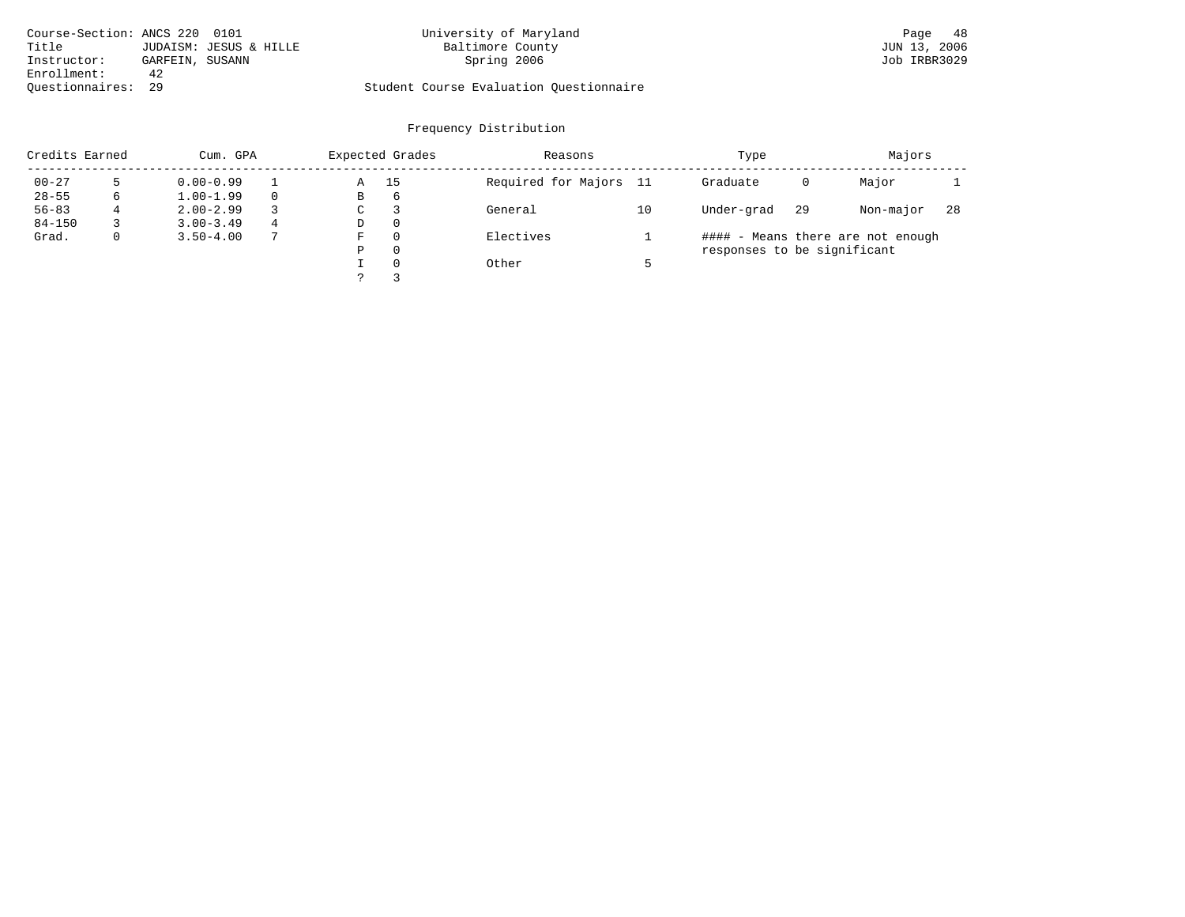| Course-Section: ANCS 220 0101 |                 |                        | University of Maryland                  | Page 48      |
|-------------------------------|-----------------|------------------------|-----------------------------------------|--------------|
| Title                         |                 | JUDAISM: JESUS & HILLE | Baltimore County                        | JUN 13, 2006 |
| Instructor:                   | GARFEIN, SUSANN |                        | Spring 2006                             | Job IRBR3029 |
| Enrollment:                   | 42              |                        |                                         |              |
| Ouestionnaires: 29            |                 |                        | Student Course Evaluation Questionnaire |              |

| Credits Earned |             | Cum. GPA      |   |   | Expected Grades | Reasons                |    | Type                        | Majors |                                   |     |
|----------------|-------------|---------------|---|---|-----------------|------------------------|----|-----------------------------|--------|-----------------------------------|-----|
| $00 - 27$      |             | $0.00 - 0.99$ |   | Α | 15              | Required for Majors 11 |    | Graduate                    | 0      | Major                             |     |
| $28 - 55$      | 6           | $1.00 - 1.99$ |   | В | 6               |                        |    |                             |        |                                   |     |
| $56 - 83$      | 4           | $2.00 - 2.99$ |   | C |                 | General                | 10 | Under-grad                  | 29     | Non-major                         | -28 |
| $84 - 150$     |             | $3.00 - 3.49$ | 4 | D | $\Omega$        |                        |    |                             |        |                                   |     |
| Grad.          | $\mathbf 0$ | $3.50 - 4.00$ |   | F | $\Omega$        | Electives              |    |                             |        | #### - Means there are not enough |     |
|                |             |               |   | Ρ | $\Omega$        |                        |    | responses to be significant |        |                                   |     |
|                |             |               |   |   | $\Omega$        | Other                  |    |                             |        |                                   |     |
|                |             |               |   |   |                 |                        |    |                             |        |                                   |     |